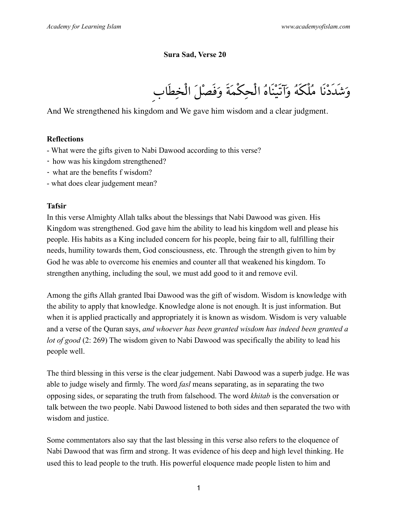#### **Sura Sad, Verse 20**

وَشَدَدْنَا مُلْکَهُ وَآتَيْنَاهُ الْحِکْمَةَ وَفَصْلَ الْخِطَابِ

And We strengthened his kingdom and We gave him wisdom and a clear judgment.

#### **Reflections**

- What were the gifts given to Nabi Dawood according to this verse?
- how was his kingdom strengthened?
- what are the benefits f wisdom?
- what does clear judgement mean?

#### **Tafsir**

In this verse Almighty Allah talks about the blessings that Nabi Dawood was given. His Kingdom was strengthened. God gave him the ability to lead his kingdom well and please his people. His habits as a King included concern for his people, being fair to all, fulfilling their needs, humility towards them, God consciousness, etc. Through the strength given to him by God he was able to overcome his enemies and counter all that weakened his kingdom. To strengthen anything, including the soul, we must add good to it and remove evil.

Among the gifts Allah granted Ibai Dawood was the gift of wisdom. Wisdom is knowledge with the ability to apply that knowledge. Knowledge alone is not enough. It is just information. But when it is applied practically and appropriately it is known as wisdom. Wisdom is very valuable and a verse of the Quran says, *and whoever has been granted wisdom has indeed been granted a lot of good* (2: 269) The wisdom given to Nabi Dawood was specifically the ability to lead his people well.

The third blessing in this verse is the clear judgement. Nabi Dawood was a superb judge. He was able to judge wisely and firmly. The word *fasl* means separating, as in separating the two opposing sides, or separating the truth from falsehood. The word *khitab* is the conversation or talk between the two people. Nabi Dawood listened to both sides and then separated the two with wisdom and justice.

Some commentators also say that the last blessing in this verse also refers to the eloquence of Nabi Dawood that was firm and strong. It was evidence of his deep and high level thinking. He used this to lead people to the truth. His powerful eloquence made people listen to him and

1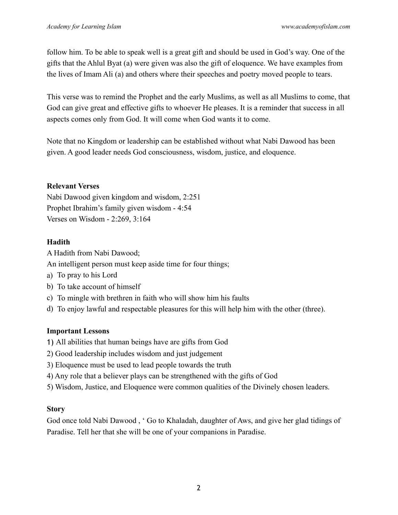follow him. To be able to speak well is a great gift and should be used in God's way. One of the gifts that the Ahlul Byat (a) were given was also the gift of eloquence. We have examples from the lives of Imam Ali (a) and others where their speeches and poetry moved people to tears.

This verse was to remind the Prophet and the early Muslims, as well as all Muslims to come, that God can give great and effective gifts to whoever He pleases. It is a reminder that success in all aspects comes only from God. It will come when God wants it to come.

Note that no Kingdom or leadership can be established without what Nabi Dawood has been given. A good leader needs God consciousness, wisdom, justice, and eloquence.

# **Relevant Verses**

Nabi Dawood given kingdom and wisdom, 2:251 Prophet Ibrahim's family given wisdom - 4:54 Verses on Wisdom - 2:269, 3:164

# **Hadith**

A Hadith from Nabi Dawood;

An intelligent person must keep aside time for four things;

- a) To pray to his Lord
- b) To take account of himself
- c) To mingle with brethren in faith who will show him his faults
- d) To enjoy lawful and respectable pleasures for this will help him with the other (three).

# **Important Lessons**

- 1) All abilities that human beings have are gifts from God
- 2) Good leadership includes wisdom and just judgement
- 3) Eloquence must be used to lead people towards the truth
- 4) Any role that a believer plays can be strengthened with the gifts of God
- 5) Wisdom, Justice, and Eloquence were common qualities of the Divinely chosen leaders.

## **Story**

God once told Nabi Dawood , ' Go to Khaladah, daughter of Aws, and give her glad tidings of Paradise. Tell her that she will be one of your companions in Paradise.